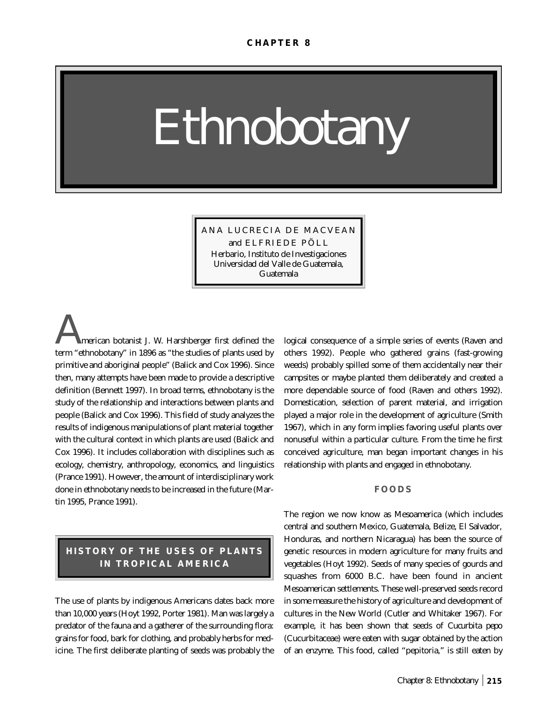# *Ethnobotany*

ANA LUCRECIA DE MACVEAN and ELFRIEDE PÖLL Herbario, Instituto de Investigaciones Universidad del Valle de Guatemala, Guatemala

*A*merican botanist J. W. Harshberger first defined the term "ethnobotany" in 1896 as "the studies of plants used by primitive and aboriginal people" (Balick and Cox 1996). Since then, many attempts have been made to provide a descriptive definition (Bennett 1997). In broad terms, ethnobotany is the study of the relationship and interactions between plants and people (Balick and Cox 1996). This field of study analyzes the results of indigenous manipulations of plant material together with the cultural context in which plants are used (Balick and Cox 1996). It includes collaboration with disciplines such as ecology, chemistry, anthropology, economics, and linguistics (Prance 1991). However, the amount of interdisciplinary work done in ethnobotany needs to be increased in the future (Martin 1995, Prance 1991).

# **HISTORY OF THE USES OF PLANTS IN TROPICAL AMERICA**

The use of plants by indigenous Americans dates back more than 10,000 years (Hoyt 1992, Porter 1981). Man was largely a predator of the fauna and a gatherer of the surrounding flora: grains for food, bark for clothing, and probably herbs for medicine. The first deliberate planting of seeds was probably the logical consequence of a simple series of events (Raven and others 1992). People who gathered grains (fast-growing weeds) probably spilled some of them accidentally near their campsites or maybe planted them deliberately and created a more dependable source of food (Raven and others 1992). Domestication, selection of parent material, and irrigation played a major role in the development of agriculture (Smith 1967), which in any form implies favoring useful plants over nonuseful within a particular culture. From the time he first conceived agriculture, man began important changes in his relationship with plants and engaged in ethnobotany.

#### **FOODS**

The region we now know as Mesoamerica (which includes central and southern Mexico, Guatemala, Belize, El Salvador, Honduras, and northern Nicaragua) has been the source of genetic resources in modern agriculture for many fruits and vegetables (Hoyt 1992). Seeds of many species of gourds and squashes from 6000 B.C. have been found in ancient Mesoamerican settlements. These well-preserved seeds record in some measure the history of agriculture and development of cultures in the New World (Cutler and Whitaker 1967). For example, it has been shown that seeds of *Cucurbita pepo* (Cucurbitaceae) were eaten with sugar obtained by the action of an enzyme. This food, called "pepitoria," is still eaten by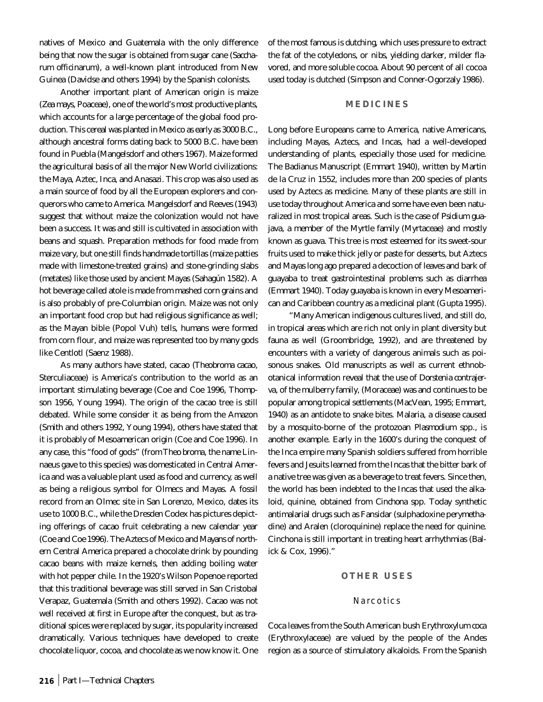natives of Mexico and Guatemala with the only difference being that now the sugar is obtained from sugar cane (*Saccharum officinarum*), a well-known plant introduced from New Guinea (Davidse and others 1994) by the Spanish colonists.

Another important plant of American origin is maize (*Zea mays*, Poaceae), one of the world's most productive plants, which accounts for a large percentage of the global food production. This cereal was planted in Mexico as early as 3000 B.C., although ancestral forms dating back to 5000 B.C. have been found in Puebla (Mangelsdorf and others 1967). Maize formed the agricultural basis of all the major New World civilizations: the Maya, Aztec, Inca, and Anasazi. This crop was also used as a main source of food by all the European explorers and conquerors who came to America. Mangelsdorf and Reeves (1943) suggest that without maize the colonization would not have been a success. It was and still is cultivated in association with beans and squash. Preparation methods for food made from maize vary, but one still finds handmade tortillas (maize patties made with limestone-treated grains) and stone-grinding slabs (metates) like those used by ancient Mayas (Sahagún 1582). A hot beverage called atole is made from mashed corn grains and is also probably of pre-Columbian origin. Maize was not only an important food crop but had religious significance as well; as the Mayan bible (Popol Vuh) tells, humans were formed from corn flour, and maize was represented too by many gods like Centlotl (Saenz 1988).

As many authors have stated, cacao (*Theobroma cacao*, Sterculiaceae) is America's contribution to the world as an important stimulating beverage (Coe and Coe 1996, Thompson 1956, Young 1994). The origin of the cacao tree is still debated. While some consider it as being from the Amazon (Smith and others 1992, Young 1994), others have stated that it is probably of Mesoamerican origin (Coe and Coe 1996). In any case, this "food of gods" (from *Theo broma*, the name Linnaeus gave to this species) was domesticated in Central America and was a valuable plant used as food and currency, as well as being a religious symbol for Olmecs and Mayas. A fossil record from an Olmec site in San Lorenzo, Mexico, dates its use to 1000 B.C., while the Dresden Codex has pictures depicting offerings of cacao fruit celebrating a new calendar year (Coe and Coe 1996). The Aztecs of Mexico and Mayans of northern Central America prepared a chocolate drink by pounding cacao beans with maize kernels, then adding boiling water with hot pepper chile. In the 1920's Wilson Popenoe reported that this traditional beverage was still served in San Cristobal Verapaz, Guatemala (Smith and others 1992). Cacao was not well received at first in Europe after the conquest, but as traditional spices were replaced by sugar, its popularity increased dramatically. Various techniques have developed to create chocolate liquor, cocoa, and chocolate as we now know it. One of the most famous is *dutching,* which uses pressure to extract the fat of the cotyledons, or *nibs*, yielding darker, milder flavored, and more soluble cocoa. About 90 percent of all cocoa used today is dutched (Simpson and Conner-Ogorzaly 1986).

#### **MEDICINES**

Long before Europeans came to America, native Americans, including Mayas, Aztecs, and Incas, had a well-developed understanding of plants, especially those used for medicine. The Badianus Manuscript (Emmart 1940), written by Martin de la Cruz in 1552, includes more than 200 species of plants used by Aztecs as medicine. Many of these plants are still in use today throughout America and some have even been naturalized in most tropical areas. Such is the case of *Psidium guajava*, a member of the Myrtle family (Myrtaceae) and mostly known as guava. This tree is most esteemed for its sweet-sour fruits used to make thick jelly or paste for desserts, but Aztecs and Mayas long ago prepared a decoction of leaves and bark of guayaba to treat gastrointestinal problems such as diarrhea (Emmart 1940). Today guayaba is known in every Mesoamerican and Caribbean country as a medicinal plant (Gupta 1995).

"Many American indigenous cultures lived, and still do, in tropical areas which are rich not only in plant diversity but fauna as well (Groombridge, 1992), and are threatened by encounters with a variety of dangerous animals such as poisonous snakes. Old manuscripts as well as current ethnobotanical information reveal that the use of *Dorstenia contrajerva*, of the mulberry family, (Moraceae) was and continues to be popular among tropical settlements (MacVean, 1995; Emmart, 1940) as an antidote to snake bites. Malaria, a disease caused by a mosquito-borne of the protozoan *Plasmodium* spp., is another example. Early in the 1600's during the conquest of the Inca empire many Spanish soldiers suffered from horrible fevers and Jesuits learned from the Incas that the bitter bark of a native tree was given as a beverage to treat fevers. Since then, the world has been indebted to the Incas that used the alkaloid, quinine, obtained from *Cinchona* spp. Today synthetic antimalarial drugs such as Fansidar (sulphadoxine perymethadine) and Aralen (cloroquinine) replace the need for quinine. Cinchona is still important in treating heart arrhythmias (Balick & Cox, 1996)."

#### **OTHER USES**

#### Narcotics

Coca leaves from the South American bush *Erythroxylum coca* (Erythroxylaceae) are valued by the people of the Andes region as a source of stimulatory alkaloids. From the Spanish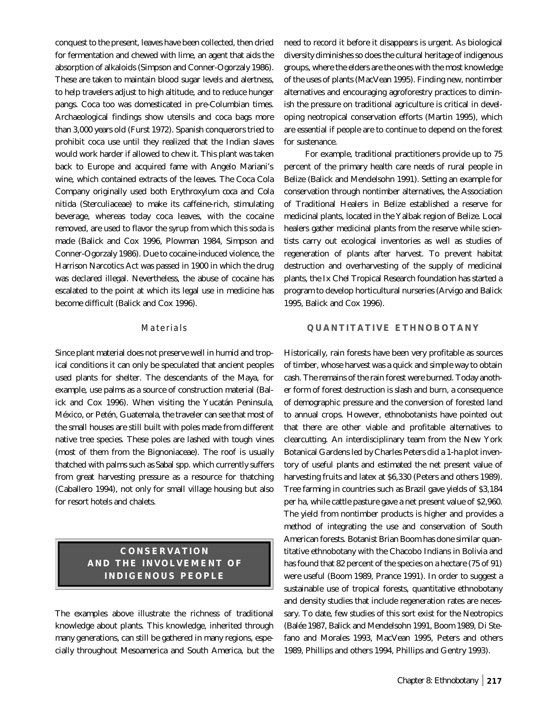conquest to the present, leaves have been collected, then dried for fermentation and chewed with lime, an agent that aids the absorption of alkaloids (Simpson and Conner-Ogorzaly 1986). These are taken to maintain blood sugar levels and alertness, to help travelers adjust to high altitude, and to reduce hunger pangs. Coca too was domesticated in pre-Columbian times. Archaeological findings show utensils and coca bags more than 3,000 years old (Furst 1972). Spanish conquerors tried to prohibit coca use until they realized that the Indian slaves would work harder if allowed to chew it. This plant was taken back to Europe and acquired fame with Angelo Mariani's wine, which contained extracts of the leaves. The Coca Cola Company originally used both *Erythroxylum coca* and *Cola nitida* (Sterculiaceae) to make its caffeine-rich, stimulating beverage, whereas today coca leaves, with the cocaine removed, are used to flavor the syrup from which this soda is made (Balick and Cox 1996, Plowman 1984, Simpson and Conner-Ogorzaly 1986). Due to cocaine-induced violence, the Harrison Narcotics Act was passed in 1900 in which the drug was declared illegal. Nevertheless, the abuse of cocaine has escalated to the point at which its legal use in medicine has become difficult (Balick and Cox 1996).

#### Materials

Since plant material does not preserve well in humid and tropical conditions it can only be speculated that ancient peoples used plants for shelter. The descendants of the Maya, for example, use palms as a source of construction material (Balick and Cox 1996). When visiting the Yucatán Peninsula, México, or Petén, Guatemala, the traveler can see that most of the small houses are still built with poles made from different native tree species. These poles are lashed with tough vines (most of them from the Bignoniaceae). The roof is usually thatched with palms such as *Sabal* spp. which currently suffers from great harvesting pressure as a resource for thatching (Caballero 1994), not only for small village housing but also for resort hotels and chalets.

## **CONSERVATION AND THE INVOLVEMENT OF INDIGENOUS PEOPLE**

The examples above illustrate the richness of traditional knowledge about plants. This knowledge, inherited through many generations, can still be gathered in many regions, especially throughout Mesoamerica and South America, but the

need to record it before it disappears is urgent. As biological diversity diminishes so does the cultural heritage of indigenous groups, where the elders are the ones with the most knowledge of the uses of plants (MacVean 1995). Finding new, nontimber alternatives and encouraging agroforestry practices to diminish the pressure on traditional agriculture is critical in developing neotropical conservation efforts (Martin 1995), which are essential if people are to continue to depend on the forest for sustenance.

For example, traditional practitioners provide up to 75 percent of the primary health care needs of rural people in Belize (Balick and Mendelsohn 1991). Setting an example for conservation through nontimber alternatives, the Association of Traditional Healers in Belize established a reserve for medicinal plants, located in the Yalbak region of Belize. Local healers gather medicinal plants from the reserve while scientists carry out ecological inventories as well as studies of regeneration of plants after harvest. To prevent habitat destruction and overharvesting of the supply of medicinal plants, the Ix Chel Tropical Research foundation has started a program to develop horticultural nurseries (Arvigo and Balick 1995, Balick and Cox 1996).

#### **QUANTITATIVE ETHNOBOTANY**

Historically, rain forests have been very profitable as sources of timber, whose harvest was a quick and simple way to obtain cash. The remains of the rain forest were burned. Today another form of forest destruction is slash and burn, a consequence of demographic pressure and the conversion of forested land to annual crops. However, ethnobotanists have pointed out that there are other viable and profitable alternatives to clearcutting. An interdisciplinary team from the New York Botanical Gardens led by Charles Peters did a 1-ha plot inventory of useful plants and estimated the net present value of harvesting fruits and latex at \$6,330 (Peters and others 1989). Tree farming in countries such as Brazil gave yields of \$3,184 per ha, while cattle pasture gave a net present value of \$2,960. The yield from nontimber products is higher and provides a method of integrating the use and conservation of South American forests. Botanist Brian Boom has done similar quantitative ethnobotany with the Chacobo Indians in Bolivia and has found that 82 percent of the species on a hectare (75 of 91) were useful (Boom 1989, Prance 1991). In order to suggest a sustainable use of tropical forests, quantitative ethnobotany and density studies that include regeneration rates are necessary. To date, few studies of this sort exist for the Neotropics (Balée 1987, Balick and Mendelsohn 1991, Boom 1989, Di Stefano and Morales 1993, MacVean 1995, Peters and others 1989, Phillips and others 1994, Phillips and Gentry 1993).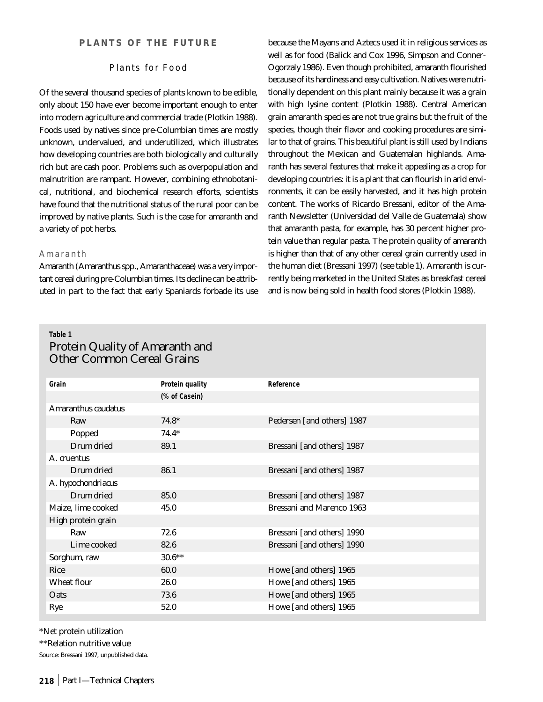#### Plants for Food

Of the several thousand species of plants known to be edible, only about 150 have ever become important enough to enter into modern agriculture and commercial trade (Plotkin 1988). Foods used by natives since pre-Columbian times are mostly unknown, undervalued, and underutilized, which illustrates how developing countries are both biologically and culturally rich but are cash poor. Problems such as overpopulation and malnutrition are rampant. However, combining ethnobotanical, nutritional, and biochemical research efforts, scientists have found that the nutritional status of the rural poor can be improved by native plants. Such is the case for amaranth and a variety of pot herbs.

#### Amaranth

Amaranth (*Amaranthus* spp., Amaranthaceae) was a very important cereal during pre-Columbian times. Its decline can be attributed in part to the fact that early Spaniards forbade its use because the Mayans and Aztecs used it in religious services as well as for food (Balick and Cox 1996, Simpson and Conner-Ogorzaly 1986). Even though prohibited, amaranth flourished because of its hardiness and easy cultivation. Natives were nutritionally dependent on this plant mainly because it was a grain with high lysine content (Plotkin 1988). Central American grain amaranth species are not true grains but the fruit of the species, though their flavor and cooking procedures are similar to that of grains. This beautiful plant is still used by Indians throughout the Mexican and Guatemalan highlands. Amaranth has several features that make it appealing as a crop for developing countries: it is a plant that can flourish in arid environments, it can be easily harvested, and it has high protein content. The works of Ricardo Bressani, editor of the Amaranth Newsletter (Universidad del Valle de Guatemala) show that amaranth pasta, for example, has 30 percent higher protein value than regular pasta. The protein quality of amaranth is higher than that of any other cereal grain currently used in the human diet (Bressani 1997) (see table 1). Amaranth is currently being marketed in the United States as breakfast cereal and is now being sold in health food stores (Plotkin 1988).

## **Table 1** Protein Quality of Amaranth and Other Common Cereal Grains

|               | Reference                        |  |  |  |  |  |
|---------------|----------------------------------|--|--|--|--|--|
| (% of Casein) |                                  |  |  |  |  |  |
|               |                                  |  |  |  |  |  |
| $74.8*$       | Pedersen [and others] 1987       |  |  |  |  |  |
| $74.4*$       |                                  |  |  |  |  |  |
| 89.1          | Bressani [and others] 1987       |  |  |  |  |  |
|               |                                  |  |  |  |  |  |
| 86.1          | Bressani [and others] 1987       |  |  |  |  |  |
|               |                                  |  |  |  |  |  |
| 85.0          | Bressani [and others] 1987       |  |  |  |  |  |
| 45.0          | <b>Bressani and Marenco 1963</b> |  |  |  |  |  |
|               |                                  |  |  |  |  |  |
| 72.6          | Bressani [and others] 1990       |  |  |  |  |  |
| 82.6          | Bressani [and others] 1990       |  |  |  |  |  |
| $30.6***$     |                                  |  |  |  |  |  |
| 60.0          | Howe [and others] 1965           |  |  |  |  |  |
| 26.0          | Howe [and others] 1965           |  |  |  |  |  |
| 73.6          | Howe [and others] 1965           |  |  |  |  |  |
| 52.0          | Howe [and others] 1965           |  |  |  |  |  |
|               | <b>Protein quality</b>           |  |  |  |  |  |

\*Net protein utilization

\*\*Relation nutritive value

Source: Bressani 1997, unpublished data.